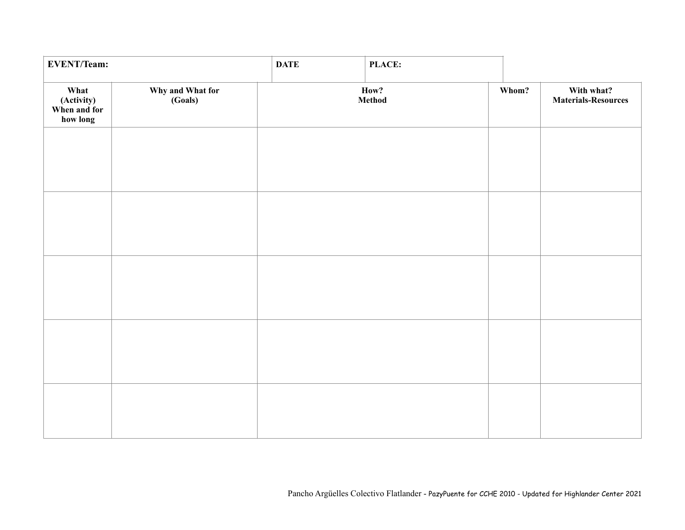| <b>EVENT/Team:</b>                             |                             | <b>DATE</b> | PLACE:         |       |                                          |
|------------------------------------------------|-----------------------------|-------------|----------------|-------|------------------------------------------|
| What<br>(Activity)<br>When and for<br>how long | Why and What for<br>(Goals) |             | How?<br>Method | Whom? | With what?<br><b>Materials-Resources</b> |
|                                                |                             |             |                |       |                                          |
|                                                |                             |             |                |       |                                          |
|                                                |                             |             |                |       |                                          |
|                                                |                             |             |                |       |                                          |
|                                                |                             |             |                |       |                                          |
|                                                |                             |             |                |       |                                          |